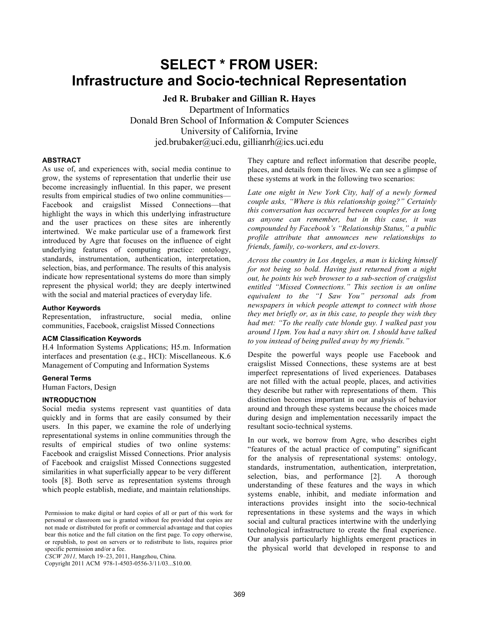# **SELECT \* FROM USER: Infrastructure and Socio-technical Representation**

**Jed R. Brubaker and Gillian R. Hayes**  Department of Informatics Donald Bren School of Information & Computer Sciences University of California, Irvine jed.brubaker@uci.edu, gillianrh@ics.uci.edu

## **ABSTRACT**

As use of, and experiences with, social media continue to grow, the systems of representation that underlie their use become increasingly influential. In this paper, we present results from empirical studies of two online communities— Facebook and craigslist Missed Connections—that highlight the ways in which this underlying infrastructure and the user practices on these sites are inherently intertwined. We make particular use of a framework first introduced by Agre that focuses on the influence of eight underlying features of computing practice: ontology, standards, instrumentation, authentication, interpretation, selection, bias, and performance. The results of this analysis indicate how representational systems do more than simply represent the physical world; they are deeply intertwined with the social and material practices of everyday life.

#### **Author Keywords**

Representation, infrastructure, social media, online communities, Facebook, craigslist Missed Connections

#### **ACM Classification Keywords**

H.4 Information Systems Applications; H5.m. Information interfaces and presentation (e.g., HCI): Miscellaneous. K.6 Management of Computing and Information Systems

#### **General Terms**

Human Factors, Design

## **INTRODUCTION**

Social media systems represent vast quantities of data quickly and in forms that are easily consumed by their users. In this paper, we examine the role of underlying representational systems in online communities through the results of empirical studies of two online systems: Facebook and craigslist Missed Connections. Prior analysis of Facebook and craigslist Missed Connections suggested similarities in what superficially appear to be very different tools [8]. Both serve as representation systems through which people establish, mediate, and maintain relationships.

Copyright 2011 ACM 978-1-4503-0556-3/11/03...\$10.00.

They capture and reflect information that describe people, places, and details from their lives. We can see a glimpse of these systems at work in the following two scenarios:

*Late one night in New York City, half of a newly formed couple asks, "Where is this relationship going?" Certainly this conversation has occurred between couples for as long as anyone can remember, but in this case, it was compounded by Facebook's "Relationship Status," a public profile attribute that announces new relationships to friends, family, co-workers, and ex-lovers.*

*Across the country in Los Angeles, a man is kicking himself for not being so bold. Having just returned from a night out, he points his web browser to a sub-section of craigslist entitled "Missed Connections." This section is an online equivalent to the "I Saw You" personal ads from newspapers in which people attempt to connect with those they met briefly or, as in this case, to people they wish they had met: "To the really cute blonde guy. I walked past you around 11pm. You had a navy shirt on. I should have talked to you instead of being pulled away by my friends."*

Despite the powerful ways people use Facebook and craigslist Missed Connections, these systems are at best imperfect representations of lived experiences. Databases are not filled with the actual people, places, and activities they describe but rather with representations of them. This distinction becomes important in our analysis of behavior around and through these systems because the choices made during design and implementation necessarily impact the resultant socio-technical systems.

In our work, we borrow from Agre, who describes eight "features of the actual practice of computing" significant for the analysis of representational systems: ontology, standards, instrumentation, authentication, interpretation, selection, bias, and performance [2]. A thorough understanding of these features and the ways in which systems enable, inhibit, and mediate information and interactions provides insight into the socio-technical representations in these systems and the ways in which social and cultural practices intertwine with the underlying technological infrastructure to create the final experience. Our analysis particularly highlights emergent practices in the physical world that developed in response to and

Permission to make digital or hard copies of all or part of this work for personal or classroom use is granted without fee provided that copies are not made or distributed for profit or commercial advantage and that copies bear this notice and the full citation on the first page. To copy otherwise, or republish, to post on servers or to redistribute to lists, requires prior specific permission and/or a fee.

*CSCW 2011,* March 19–23, 2011, Hangzhou, China.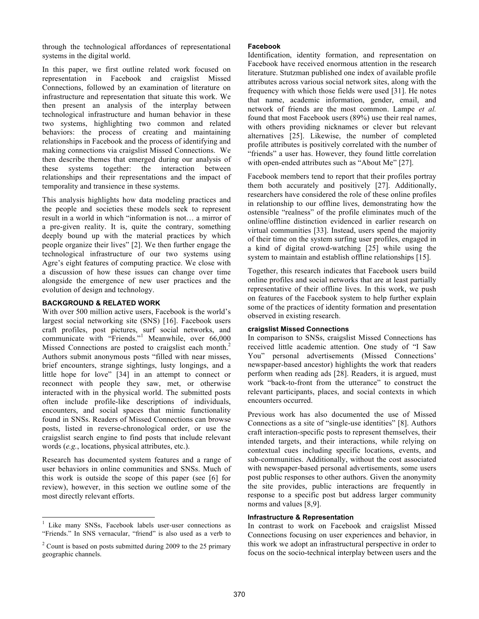through the technological affordances of representational systems in the digital world.

In this paper, we first outline related work focused on representation in Facebook and craigslist Missed Connections, followed by an examination of literature on infrastructure and representation that situate this work. We then present an analysis of the interplay between technological infrastructure and human behavior in these two systems, highlighting two common and related behaviors: the process of creating and maintaining relationships in Facebook and the process of identifying and making connections via craigslist Missed Connections. We then describe themes that emerged during our analysis of these systems together: the interaction between relationships and their representations and the impact of temporality and transience in these systems.

This analysis highlights how data modeling practices and the people and societies these models seek to represent result in a world in which "information is not… a mirror of a pre-given reality. It is, quite the contrary, something deeply bound up with the material practices by which people organize their lives" [2]. We then further engage the technological infrastructure of our two systems using Agre's eight features of computing practice. We close with a discussion of how these issues can change over time alongside the emergence of new user practices and the evolution of design and technology.

## **BACKGROUND & RELATED WORK**

With over 500 million active users, Facebook is the world's largest social networking site (SNS) [16]. Facebook users craft profiles, post pictures, surf social networks, and communicate with "Friends."<sup>1</sup> Meanwhile, over 66,000 Missed Connections are posted to craigslist each month.<sup>2</sup> Authors submit anonymous posts "filled with near misses, brief encounters, strange sightings, lusty longings, and a little hope for love" [34] in an attempt to connect or reconnect with people they saw, met, or otherwise interacted with in the physical world. The submitted posts often include profile-like descriptions of individuals, encounters, and social spaces that mimic functionality found in SNSs. Readers of Missed Connections can browse posts, listed in reverse-chronological order, or use the craigslist search engine to find posts that include relevant words (*e.g.*, locations, physical attributes, etc.).

Research has documented system features and a range of user behaviors in online communities and SNSs. Much of this work is outside the scope of this paper (see [6] for review), however, in this section we outline some of the most directly relevant efforts.

-

#### **Facebook**

Identification, identity formation, and representation on Facebook have received enormous attention in the research literature. Stutzman published one index of available profile attributes across various social network sites, along with the frequency with which those fields were used [31]. He notes that name, academic information, gender, email, and network of friends are the most common. Lampe *et al.* found that most Facebook users (89%) use their real names, with others providing nicknames or clever but relevant alternatives [25]. Likewise, the number of completed profile attributes is positively correlated with the number of "friends" a user has. However, they found little correlation with open-ended attributes such as "About Me" [27].

Facebook members tend to report that their profiles portray them both accurately and positively [27]. Additionally, researchers have considered the role of these online profiles in relationship to our offline lives, demonstrating how the ostensible "realness" of the profile eliminates much of the online/offline distinction evidenced in earlier research on virtual communities [33]. Instead, users spend the majority of their time on the system surfing user profiles, engaged in a kind of digital crowd-watching [25] while using the system to maintain and establish offline relationships [15].

Together, this research indicates that Facebook users build online profiles and social networks that are at least partially representative of their offline lives. In this work, we push on features of the Facebook system to help further explain some of the practices of identity formation and presentation observed in existing research.

## **craigslist Missed Connections**

In comparison to SNSs, craigslist Missed Connections has received little academic attention. One study of "I Saw You" personal advertisements (Missed Connections' newspaper-based ancestor) highlights the work that readers perform when reading ads [28]. Readers, it is argued, must work "back-to-front from the utterance" to construct the relevant participants, places, and social contexts in which encounters occurred.

Previous work has also documented the use of Missed Connections as a site of "single-use identities" [8]. Authors craft interaction-specific posts to represent themselves, their intended targets, and their interactions, while relying on contextual cues including specific locations, events, and sub-communities. Additionally, without the cost associated with newspaper-based personal advertisements, some users post public responses to other authors. Given the anonymity the site provides, public interactions are frequently in response to a specific post but address larger community norms and values [8,9].

#### **Infrastructure & Representation**

In contrast to work on Facebook and craigslist Missed Connections focusing on user experiences and behavior, in this work we adopt an infrastructural perspective in order to focus on the socio-technical interplay between users and the

<sup>&</sup>lt;sup>1</sup> Like many SNSs, Facebook labels user-user connections as "Friends." In SNS vernacular, "friend" is also used as a verb to

 $2$  Count is based on posts submitted during 2009 to the 25 primary geographic channels.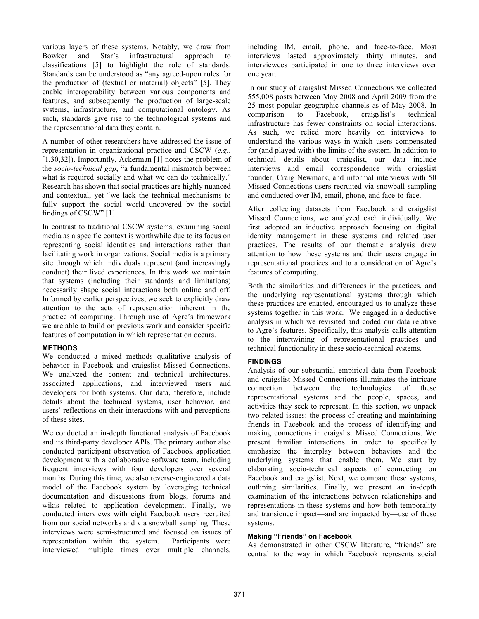various layers of these systems. Notably, we draw from Bowker and Star's infrastructural approach to classifications [5] to highlight the role of standards. Standards can be understood as "any agreed-upon rules for the production of (textual or material) objects" [5]. They enable interoperability between various components and features, and subsequently the production of large-scale systems, infrastructure, and computational ontology. As such, standards give rise to the technological systems and the representational data they contain.

A number of other researchers have addressed the issue of representation in organizational practice and CSCW (*e.g.*, [1,30,32]). Importantly, Ackerman [1] notes the problem of the *socio-technical gap*, "a fundamental mismatch between what is required socially and what we can do technically." Research has shown that social practices are highly nuanced and contextual, yet "we lack the technical mechanisms to fully support the social world uncovered by the social findings of CSCW" [1].

In contrast to traditional CSCW systems, examining social media as a specific context is worthwhile due to its focus on representing social identities and interactions rather than facilitating work in organizations. Social media is a primary site through which individuals represent (and increasingly conduct) their lived experiences. In this work we maintain that systems (including their standards and limitations) necessarily shape social interactions both online and off. Informed by earlier perspectives, we seek to explicitly draw attention to the acts of representation inherent in the practice of computing. Through use of Agre's framework we are able to build on previous work and consider specific features of computation in which representation occurs.

# **METHODS**

We conducted a mixed methods qualitative analysis of behavior in Facebook and craigslist Missed Connections. We analyzed the content and technical architectures, associated applications, and interviewed users and developers for both systems. Our data, therefore, include details about the technical systems, user behavior, and users' reflections on their interactions with and perceptions of these sites.

We conducted an in-depth functional analysis of Facebook and its third-party developer APIs. The primary author also conducted participant observation of Facebook application development with a collaborative software team, including frequent interviews with four developers over several months. During this time, we also reverse-engineered a data model of the Facebook system by leveraging technical documentation and discussions from blogs, forums and wikis related to application development. Finally, we conducted interviews with eight Facebook users recruited from our social networks and via snowball sampling. These interviews were semi-structured and focused on issues of representation within the system. Participants were representation within the system. interviewed multiple times over multiple channels,

including IM, email, phone, and face-to-face. Most interviews lasted approximately thirty minutes, and interviewees participated in one to three interviews over one year.

In our study of craigslist Missed Connections we collected 555,008 posts between May 2008 and April 2009 from the 25 most popular geographic channels as of May 2008. In comparison to Facebook, craigslist's technical infrastructure has fewer constraints on social interactions. As such, we relied more heavily on interviews to understand the various ways in which users compensated for (and played with) the limits of the system. In addition to technical details about craigslist, our data include interviews and email correspondence with craigslist founder, Craig Newmark, and informal interviews with 50 Missed Connections users recruited via snowball sampling and conducted over IM, email, phone, and face-to-face.

After collecting datasets from Facebook and craigslist Missed Connections, we analyzed each individually. We first adopted an inductive approach focusing on digital identity management in these systems and related user practices. The results of our thematic analysis drew attention to how these systems and their users engage in representational practices and to a consideration of Agre's features of computing.

Both the similarities and differences in the practices, and the underlying representational systems through which these practices are enacted, encouraged us to analyze these systems together in this work. We engaged in a deductive analysis in which we revisited and coded our data relative to Agre's features. Specifically, this analysis calls attention to the intertwining of representational practices and technical functionality in these socio-technical systems.

# **FINDINGS**

Analysis of our substantial empirical data from Facebook and craigslist Missed Connections illuminates the intricate connection between the technologies of these representational systems and the people, spaces, and activities they seek to represent. In this section, we unpack two related issues: the process of creating and maintaining friends in Facebook and the process of identifying and making connections in craigslist Missed Connections. We present familiar interactions in order to specifically emphasize the interplay between behaviors and the underlying systems that enable them. We start by elaborating socio-technical aspects of connecting on Facebook and craigslist. Next, we compare these systems, outlining similarities. Finally, we present an in-depth examination of the interactions between relationships and representations in these systems and how both temporality and transience impact—and are impacted by—use of these systems.

## **Making "Friends" on Facebook**

As demonstrated in other CSCW literature, "friends" are central to the way in which Facebook represents social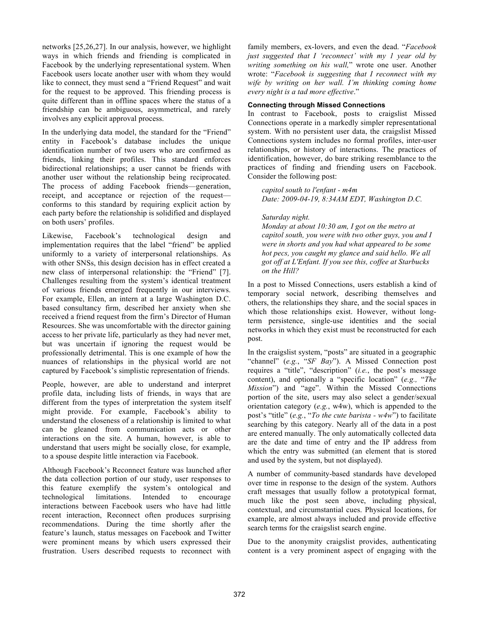networks [25,26,27]. In our analysis, however, we highlight ways in which friends and friending is complicated in Facebook by the underlying representational system. When Facebook users locate another user with whom they would like to connect, they must send a "Friend Request" and wait for the request to be approved. This friending process is quite different than in offline spaces where the status of a friendship can be ambiguous, asymmetrical, and rarely involves any explicit approval process.

In the underlying data model, the standard for the "Friend" entity in Facebook's database includes the unique identification number of two users who are confirmed as friends, linking their profiles. This standard enforces bidirectional relationships; a user cannot be friends with another user without the relationship being reciprocated. The process of adding Facebook friends—generation, receipt, and acceptance or rejection of the request conforms to this standard by requiring explicit action by each party before the relationship is solidified and displayed on both users' profiles.

Likewise, Facebook's technological design and implementation requires that the label "friend" be applied uniformly to a variety of interpersonal relationships. As with other SNSs, this design decision has in effect created a new class of interpersonal relationship: the "Friend" [7]. Challenges resulting from the system's identical treatment of various friends emerged frequently in our interviews. For example, Ellen, an intern at a large Washington D.C. based consultancy firm, described her anxiety when she received a friend request from the firm's Director of Human Resources. She was uncomfortable with the director gaining access to her private life, particularly as they had never met, but was uncertain if ignoring the request would be professionally detrimental. This is one example of how the nuances of relationships in the physical world are not captured by Facebook's simplistic representation of friends.

People, however, are able to understand and interpret profile data, including lists of friends, in ways that are different from the types of interpretation the system itself might provide. For example, Facebook's ability to understand the closeness of a relationship is limited to what can be gleaned from communication acts or other interactions on the site. A human, however, is able to understand that users might be socially close, for example, to a spouse despite little interaction via Facebook.

Although Facebook's Reconnect feature was launched after the data collection portion of our study, user responses to this feature exemplify the system's ontological and technological limitations. Intended to encourage interactions between Facebook users who have had little recent interaction, Reconnect often produces surprising recommendations. During the time shortly after the feature's launch, status messages on Facebook and Twitter were prominent means by which users expressed their frustration. Users described requests to reconnect with

family members, ex-lovers, and even the dead. "*Facebook just suggested that I 'reconnect' with my 1 year old by writing something on his wall,*" wrote one user. Another wrote: "*Facebook is suggesting that I reconnect with my wife by writing on her wall. I'm thinking coming home every night is a tad more effective*."

## **Connecting through Missed Connections**

In contrast to Facebook, posts to craigslist Missed Connections operate in a markedly simpler representational system. With no persistent user data, the craigslist Missed Connections system includes no formal profiles, inter-user relationships, or history of interactions. The practices of identification, however, do bare striking resemblance to the practices of finding and friending users on Facebook. Consider the following post:

*capitol south to l'enfant - m4m Date: 2009-04-19, 8:34AM EDT, Washington D.C.*

## *Saturday night.*

*Monday at about 10:30 am, I got on the metro at capitol south, you were with two other guys, you and I were in shorts and you had what appeared to be some hot pecs, you caught my glance and said hello. We all got off at L'Enfant. If you see this, coffee at Starbucks on the Hill?*

In a post to Missed Connections, users establish a kind of temporary social network, describing themselves and others, the relationships they share, and the social spaces in which those relationships exist. However, without longterm persistence, single-use identities and the social networks in which they exist must be reconstructed for each post.

In the craigslist system, "posts" are situated in a geographic "channel" (*e.g.*, "*SF Bay*"). A Missed Connection post requires a "title", "description" (*i.e.*, the post's message content), and optionally a "specific location" (*e.g.,* "*The Mission*") and "age". Within the Missed Connections portion of the site, users may also select a gender/sexual orientation category (*e.g.*, w4w), which is appended to the post's "title" (*e.g.*, "*To the cute barista - w4w*") to facilitate searching by this category. Nearly all of the data in a post are entered manually. The only automatically collected data are the date and time of entry and the IP address from which the entry was submitted (an element that is stored and used by the system, but not displayed).

A number of community-based standards have developed over time in response to the design of the system. Authors craft messages that usually follow a prototypical format, much like the post seen above, including physical, contextual, and circumstantial cues. Physical locations, for example, are almost always included and provide effective search terms for the craigslist search engine.

Due to the anonymity craigslist provides, authenticating content is a very prominent aspect of engaging with the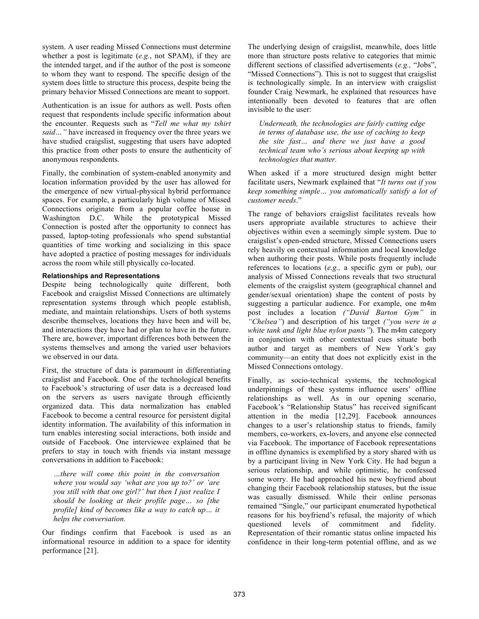system. A user reading Missed Connections must determine whether a post is legitimate (*e.g.*, not SPAM), if they are the intended target, and if the author of the post is someone to whom they want to respond. The specific design of the system does little to structure this process, despite being the primary behavior Missed Connections are meant to support.

Authentication is an issue for authors as well. Posts often request that respondents include specific information about the encounter. Requests such as "*Tell me what my tshirt said…"* have increased in frequency over the three years we have studied craigslist, suggesting that users have adopted this practice from other posts to ensure the authenticity of anonymous respondents.

Finally, the combination of system-enabled anonymity and location information provided by the user has allowed for the emergence of new virtual-physical hybrid performance spaces. For example, a particularly high volume of Missed Connections originate from a popular coffee house in Washington D.C. While the prototypical Missed Connection is posted after the opportunity to connect has passed, laptop-toting professionals who spend substantial quantities of time working and socializing in this space have adopted a practice of posting messages for individuals across the room while still physically co-located.

## **Relationships and Representations**

Despite being technologically quite different, both Facebook and craigslist Missed Connections are ultimately representation systems through which people establish, mediate, and maintain relationships. Users of both systems describe themselves, locations they have been and will be, and interactions they have had or plan to have in the future. There are, however, important differences both between the systems themselves and among the varied user behaviors we observed in our data.

First, the structure of data is paramount in differentiating craigslist and Facebook. One of the technological benefits to Facebook's structuring of user data is a decreased load on the servers as users navigate through efficiently organized data. This data normalization has enabled Facebook to become a central resource for persistent digital identity information. The availability of this information in turn enables interesting social interactions, both inside and outside of Facebook. One interviewee explained that he prefers to stay in touch with friends via instant message conversations in addition to Facebook:

*…there will come this point in the conversation where you would say 'what are you up to?' or 'are you still with that one girl?' but then I just realize I should be looking at their profile page… so [the profile] kind of becomes like a way to catch up… it helps the conversation.*

Our findings confirm that Facebook is used as an informational resource in addition to a space for identity performance [21].

The underlying design of craigslist, meanwhile, does little more than structure posts relative to categories that mimic different sections of classified advertisements (*e.g.,* "Jobs", "Missed Connections"). This is not to suggest that craigslist is technologically simple. In an interview with craigslist founder Craig Newmark, he explained that resources have intentionally been devoted to features that are often invisible to the user:

*Underneath, the technologies are fairly cutting edge in terms of database use, the use of caching to keep the site fast… and there we just have a good technical team who's serious about keeping up with technologies that matter.*

When asked if a more structured design might better facilitate users, Newmark explained that "*It turns out if you keep something simple… you automatically satisfy a lot of customer needs*."

The range of behaviors craigslist facilitates reveals how users appropriate available structures to achieve their objectives within even a seemingly simple system. Due to craigslist's open-ended structure, Missed Connections users rely heavily on contextual information and local knowledge when authoring their posts. While posts frequently include references to locations (*e.g.,* a specific gym or pub), our analysis of Missed Connections reveals that two structural elements of the craigslist system (geographical channel and gender/sexual orientation) shape the content of posts by suggesting a particular audience. For example, one m4m post includes a location *("David Barton Gym"* in *"Chelsea"*) and description of his target *("you were in a white tank and light blue nylon pants"*). The m4m category in conjunction with other contextual cues situate both author and target as members of New York's gay community—an entity that does not explicitly exist in the Missed Connections ontology.

Finally, as socio-technical systems, the technological underpinnings of these systems influence users' offline relationships as well. As in our opening scenario, Facebook's "Relationship Status" has received significant attention in the media [12,29]. Facebook announces changes to a user's relationship status to friends, family members, co-workers, ex-lovers, and anyone else connected via Facebook. The importance of Facebook representations in offline dynamics is exemplified by a story shared with us by a participant living in New York City. He had begun a serious relationship, and while optimistic, he confessed some worry. He had approached his new boyfriend about changing their Facebook relationship statuses, but the issue was casually dismissed. While their online personas remained "Single," our participant enumerated hypothetical reasons for his boyfriend's refusal, the majority of which questioned levels of commitment and fidelity. Representation of their romantic status online impacted his confidence in their long-term potential offline, and as we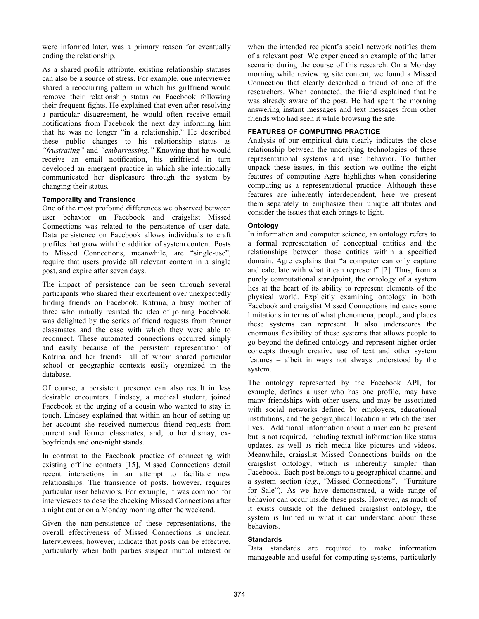were informed later, was a primary reason for eventually ending the relationship.

As a shared profile attribute, existing relationship statuses can also be a source of stress. For example, one interviewee shared a reoccurring pattern in which his girlfriend would remove their relationship status on Facebook following their frequent fights. He explained that even after resolving a particular disagreement, he would often receive email notifications from Facebook the next day informing him that he was no longer "in a relationship." He described these public changes to his relationship status as *"frustrating"* and *"embarrassing."* Knowing that he would receive an email notification, his girlfriend in turn developed an emergent practice in which she intentionally communicated her displeasure through the system by changing their status.

## **Temporality and Transience**

One of the most profound differences we observed between user behavior on Facebook and craigslist Missed Connections was related to the persistence of user data. Data persistence on Facebook allows individuals to craft profiles that grow with the addition of system content. Posts to Missed Connections, meanwhile, are "single-use", require that users provide all relevant content in a single post, and expire after seven days.

The impact of persistence can be seen through several participants who shared their excitement over unexpectedly finding friends on Facebook. Katrina, a busy mother of three who initially resisted the idea of joining Facebook, was delighted by the series of friend requests from former classmates and the ease with which they were able to reconnect. These automated connections occurred simply and easily because of the persistent representation of Katrina and her friends—all of whom shared particular school or geographic contexts easily organized in the database.

Of course, a persistent presence can also result in less desirable encounters. Lindsey, a medical student, joined Facebook at the urging of a cousin who wanted to stay in touch. Lindsey explained that within an hour of setting up her account she received numerous friend requests from current and former classmates, and, to her dismay, exboyfriends and one-night stands.

In contrast to the Facebook practice of connecting with existing offline contacts [15], Missed Connections detail recent interactions in an attempt to facilitate new relationships. The transience of posts, however, requires particular user behaviors. For example, it was common for interviewees to describe checking Missed Connections after a night out or on a Monday morning after the weekend.

Given the non-persistence of these representations, the overall effectiveness of Missed Connections is unclear. Interviewees, however, indicate that posts can be effective, particularly when both parties suspect mutual interest or when the intended recipient's social network notifies them of a relevant post. We experienced an example of the latter scenario during the course of this research. On a Monday morning while reviewing site content, we found a Missed Connection that clearly described a friend of one of the researchers. When contacted, the friend explained that he was already aware of the post. He had spent the morning answering instant messages and text messages from other friends who had seen it while browsing the site.

## **FEATURES OF COMPUTING PRACTICE**

Analysis of our empirical data clearly indicates the close relationship between the underlying technologies of these representational systems and user behavior. To further unpack these issues, in this section we outline the eight features of computing Agre highlights when considering computing as a representational practice. Although these features are inherently interdependent, here we present them separately to emphasize their unique attributes and consider the issues that each brings to light.

## **Ontology**

In information and computer science, an ontology refers to a formal representation of conceptual entities and the relationships between those entities within a specified domain. Agre explains that "a computer can only capture and calculate with what it can represent" [2]. Thus, from a purely computational standpoint, the ontology of a system lies at the heart of its ability to represent elements of the physical world. Explicitly examining ontology in both Facebook and craigslist Missed Connections indicates some limitations in terms of what phenomena, people, and places these systems can represent. It also underscores the enormous flexibility of these systems that allows people to go beyond the defined ontology and represent higher order concepts through creative use of text and other system features – albeit in ways not always understood by the system.

The ontology represented by the Facebook API, for example, defines a user who has one profile, may have many friendships with other users, and may be associated with social networks defined by employers, educational institutions, and the geographical location in which the user lives. Additional information about a user can be present but is not required, including textual information like status updates, as well as rich media like pictures and videos. Meanwhile, craigslist Missed Connections builds on the craigslist ontology, which is inherently simpler than Facebook. Each post belongs to a geographical channel and a system section (*e.g.*, "Missed Connections", "Furniture for Sale"). As we have demonstrated, a wide range of behavior can occur inside these posts. However, as much of it exists outside of the defined craigslist ontology, the system is limited in what it can understand about these behaviors.

## **Standards**

Data standards are required to make information manageable and useful for computing systems, particularly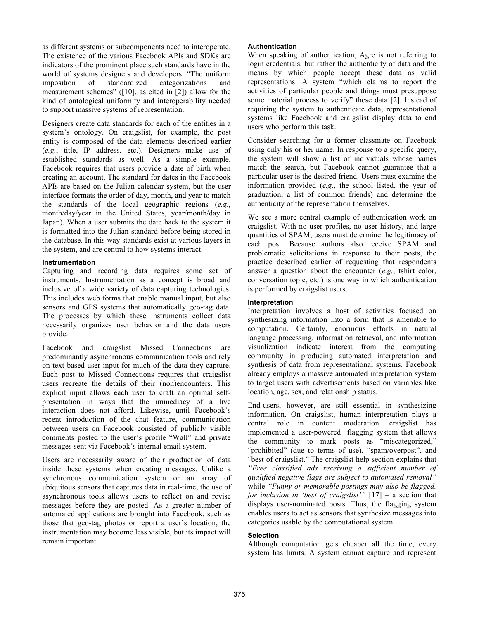as different systems or subcomponents need to interoperate. The existence of the various Facebook APIs and SDKs are indicators of the prominent place such standards have in the world of systems designers and developers. "The uniform imposition of standardized categorizations and measurement schemes" ([10], as cited in [2]) allow for the kind of ontological uniformity and interoperability needed to support massive systems of representation.

Designers create data standards for each of the entities in a system's ontology. On craigslist, for example, the post entity is composed of the data elements described earlier (*e.g.*, title, IP address, etc.). Designers make use of established standards as well. As a simple example, Facebook requires that users provide a date of birth when creating an account. The standard for dates in the Facebook APIs are based on the Julian calendar system, but the user interface formats the order of day, month, and year to match the standards of the local geographic regions (*e.g.,* month/day/year in the United States, year/month/day in Japan). When a user submits the date back to the system it is formatted into the Julian standard before being stored in the database. In this way standards exist at various layers in the system, and are central to how systems interact.

## **Instrumentation**

Capturing and recording data requires some set of instruments. Instrumentation as a concept is broad and inclusive of a wide variety of data capturing technologies. This includes web forms that enable manual input, but also sensors and GPS systems that automatically geo-tag data. The processes by which these instruments collect data necessarily organizes user behavior and the data users provide.

Facebook and craigslist Missed Connections are predominantly asynchronous communication tools and rely on text-based user input for much of the data they capture. Each post to Missed Connections requires that craigslist users recreate the details of their (non)encounters. This explicit input allows each user to craft an optimal selfpresentation in ways that the immediacy of a live interaction does not afford. Likewise, until Facebook's recent introduction of the chat feature, communication between users on Facebook consisted of publicly visible comments posted to the user's profile "Wall" and private messages sent via Facebook's internal email system.

Users are necessarily aware of their production of data inside these systems when creating messages. Unlike a synchronous communication system or an array of ubiquitous sensors that captures data in real-time, the use of asynchronous tools allows users to reflect on and revise messages before they are posted. As a greater number of automated applications are brought into Facebook, such as those that geo-tag photos or report a user's location, the instrumentation may become less visible, but its impact will remain important.

## **Authentication**

When speaking of authentication, Agre is not referring to login credentials, but rather the authenticity of data and the means by which people accept these data as valid representations. A system "which claims to report the activities of particular people and things must presuppose some material process to verify" these data [2]. Instead of requiring the system to authenticate data, representational systems like Facebook and craigslist display data to end users who perform this task.

Consider searching for a former classmate on Facebook using only his or her name. In response to a specific query, the system will show a list of individuals whose names match the search, but Facebook cannot guarantee that a particular user is the desired friend. Users must examine the information provided (*e.g.*, the school listed, the year of graduation, a list of common friends) and determine the authenticity of the representation themselves.

We see a more central example of authentication work on craigslist. With no user profiles, no user history, and large quantities of SPAM, users must determine the legitimacy of each post. Because authors also receive SPAM and problematic solicitations in response to their posts, the practice described earlier of requesting that respondents answer a question about the encounter (*e.g.*, tshirt color, conversation topic, etc.) is one way in which authentication is performed by craigslist users.

## **Interpretation**

Interpretation involves a host of activities focused on synthesizing information into a form that is amenable to computation. Certainly, enormous efforts in natural language processing, information retrieval, and information visualization indicate interest from the computing community in producing automated interpretation and synthesis of data from representational systems. Facebook already employs a massive automated interpretation system to target users with advertisements based on variables like location, age, sex, and relationship status.

End-users, however, are still essential in synthesizing information. On craigslist, human interpretation plays a central role in content moderation. craigslist has implemented a user-powered flagging system that allows the community to mark posts as "miscategorized," "prohibited" (due to terms of use), "spam/overpost", and "best of craigslist." The craigslist help section explains that *"Free classified ads receiving a sufficient number of qualified negative flags are subject to automated removal"* while *"Funny or memorable postings may also be flagged, for inclusion in 'best of craigslist'"* [17] – a section that displays user-nominated posts. Thus, the flagging system enables users to act as sensors that synthesize messages into categories usable by the computational system.

# **Selection**

Although computation gets cheaper all the time, every system has limits. A system cannot capture and represent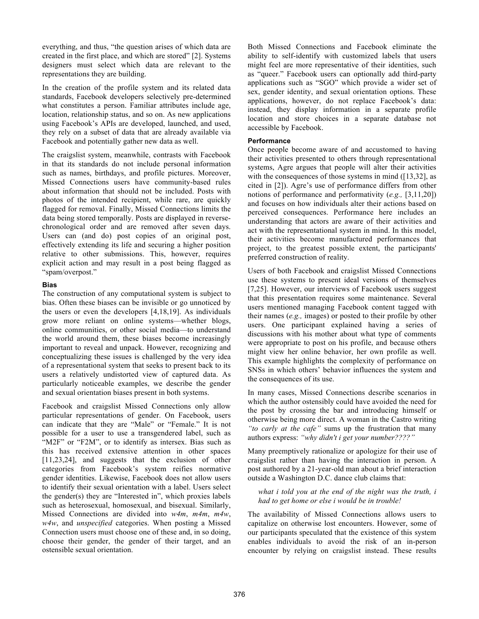everything, and thus, "the question arises of which data are created in the first place, and which are stored" [2]. Systems designers must select which data are relevant to the representations they are building.

In the creation of the profile system and its related data standards, Facebook developers selectively pre-determined what constitutes a person. Familiar attributes include age, location, relationship status, and so on. As new applications using Facebook's APIs are developed, launched, and used, they rely on a subset of data that are already available via Facebook and potentially gather new data as well.

The craigslist system, meanwhile, contrasts with Facebook in that its standards do not include personal information such as names, birthdays, and profile pictures. Moreover, Missed Connections users have community-based rules about information that should not be included. Posts with photos of the intended recipient, while rare, are quickly flagged for removal. Finally, Missed Connections limits the data being stored temporally. Posts are displayed in reversechronological order and are removed after seven days. Users can (and do) post copies of an original post, effectively extending its life and securing a higher position relative to other submissions. This, however, requires explicit action and may result in a post being flagged as "spam/overpost."

## **Bias**

The construction of any computational system is subject to bias. Often these biases can be invisible or go unnoticed by the users or even the developers [4,18,19]. As individuals grow more reliant on online systems—whether blogs, online communities, or other social media—to understand the world around them, these biases become increasingly important to reveal and unpack. However, recognizing and conceptualizing these issues is challenged by the very idea of a representational system that seeks to present back to its users a relatively undistorted view of captured data. As particularly noticeable examples, we describe the gender and sexual orientation biases present in both systems.

Facebook and craigslist Missed Connections only allow particular representations of gender. On Facebook, users can indicate that they are "Male" or "Female." It is not possible for a user to use a transgendered label, such as "M2F" or "F2M", or to identify as intersex. Bias such as this has received extensive attention in other spaces [11,23,24], and suggests that the exclusion of other categories from Facebook's system reifies normative gender identities. Likewise, Facebook does not allow users to identify their sexual orientation with a label. Users select the gender(s) they are "Interested in", which proxies labels such as heterosexual, homosexual, and bisexual. Similarly, Missed Connections are divided into *w4m*, *m4m*, *m4w*, *w4w*, and *unspecified* categories. When posting a Missed Connection users must choose one of these and, in so doing, choose their gender, the gender of their target, and an ostensible sexual orientation.

Both Missed Connections and Facebook eliminate the ability to self-identify with customized labels that users might feel are more representative of their identities, such as "queer." Facebook users can optionally add third-party applications such as "SGO" which provide a wider set of sex, gender identity, and sexual orientation options. These applications, however, do not replace Facebook's data: instead, they display information in a separate profile location and store choices in a separate database not accessible by Facebook.

# **Performance**

Once people become aware of and accustomed to having their activities presented to others through representational systems, Agre argues that people will alter their activities with the consequences of those systems in mind ([13,32], as cited in [2]). Agre's use of performance differs from other notions of performance and performativity (*e.g.,* [3,11,20]) and focuses on how individuals alter their actions based on perceived consequences. Performance here includes an understanding that actors are aware of their activities and act with the representational system in mind. In this model, their activities become manufactured performances that project, to the greatest possible extent, the participants' preferred construction of reality.

Users of both Facebook and craigslist Missed Connections use these systems to present ideal versions of themselves [7,25]. However, our interviews of Facebook users suggest that this presentation requires some maintenance. Several users mentioned managing Facebook content tagged with their names (*e.g.,* images) or posted to their profile by other users. One participant explained having a series of discussions with his mother about what type of comments were appropriate to post on his profile, and because others might view her online behavior, her own profile as well. This example highlights the complexity of performance on SNSs in which others' behavior influences the system and the consequences of its use.

In many cases, Missed Connections describe scenarios in which the author ostensibly could have avoided the need for the post by crossing the bar and introducing himself or otherwise being more direct. A woman in the Castro writing *"to carly at the cafe"* sums up the frustration that many authors express: *"why didn't i get your number????"* 

Many preemptively rationalize or apologize for their use of craigslist rather than having the interaction in person. A post authored by a 21-year-old man about a brief interaction outside a Washington D.C. dance club claims that:

*what i told you at the end of the night was the truth, i had to get home or else i would be in trouble!*

The availability of Missed Connections allows users to capitalize on otherwise lost encounters. However, some of our participants speculated that the existence of this system enables individuals to avoid the risk of an in-person encounter by relying on craigslist instead. These results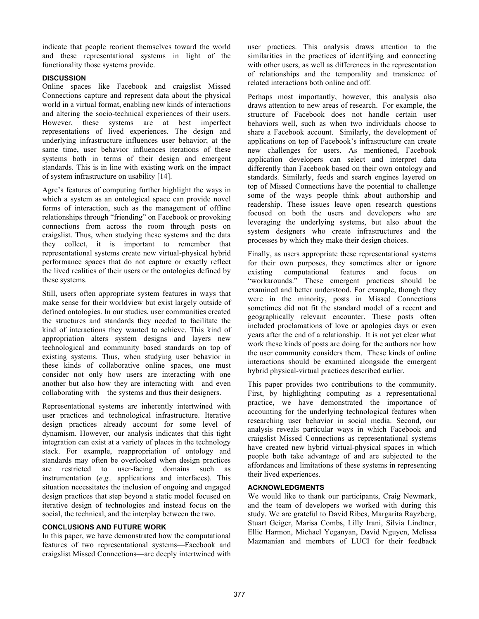indicate that people reorient themselves toward the world and these representational systems in light of the functionality those systems provide.

# **DISCUSSION**

Online spaces like Facebook and craigslist Missed Connections capture and represent data about the physical world in a virtual format, enabling new kinds of interactions and altering the socio-technical experiences of their users. However, these systems are at best imperfect representations of lived experiences. The design and underlying infrastructure influences user behavior; at the same time, user behavior influences iterations of these systems both in terms of their design and emergent standards. This is in line with existing work on the impact of system infrastructure on usability [14].

Agre's features of computing further highlight the ways in which a system as an ontological space can provide novel forms of interaction, such as the management of offline relationships through "friending" on Facebook or provoking connections from across the room through posts on craigslist. Thus, when studying these systems and the data they collect, it is important to remember that representational systems create new virtual-physical hybrid performance spaces that do not capture or exactly reflect the lived realities of their users or the ontologies defined by these systems.

Still, users often appropriate system features in ways that make sense for their worldview but exist largely outside of defined ontologies. In our studies, user communities created the structures and standards they needed to facilitate the kind of interactions they wanted to achieve. This kind of appropriation alters system designs and layers new technological and community based standards on top of existing systems. Thus, when studying user behavior in these kinds of collaborative online spaces, one must consider not only how users are interacting with one another but also how they are interacting with—and even collaborating with—the systems and thus their designers.

Representational systems are inherently intertwined with user practices and technological infrastructure. Iterative design practices already account for some level of dynamism. However, our analysis indicates that this tight integration can exist at a variety of places in the technology stack. For example, reappropriation of ontology and standards may often be overlooked when design practices are restricted to user-facing domains such as instrumentation (*e.g.,* applications and interfaces). This situation necessitates the inclusion of ongoing and engaged design practices that step beyond a static model focused on iterative design of technologies and instead focus on the social, the technical, and the interplay between the two.

# **CONCLUSIONS AND FUTURE WORK**

In this paper, we have demonstrated how the computational features of two representational systems—Facebook and craigslist Missed Connections—are deeply intertwined with user practices. This analysis draws attention to the similarities in the practices of identifying and connecting with other users, as well as differences in the representation of relationships and the temporality and transience of related interactions both online and off.

Perhaps most importantly, however, this analysis also draws attention to new areas of research. For example, the structure of Facebook does not handle certain user behaviors well, such as when two individuals choose to share a Facebook account. Similarly, the development of applications on top of Facebook's infrastructure can create new challenges for users. As mentioned, Facebook application developers can select and interpret data differently than Facebook based on their own ontology and standards. Similarly, feeds and search engines layered on top of Missed Connections have the potential to challenge some of the ways people think about authorship and readership. These issues leave open research questions focused on both the users and developers who are leveraging the underlying systems, but also about the system designers who create infrastructures and the processes by which they make their design choices.

Finally, as users appropriate these representational systems for their own purposes, they sometimes alter or ignore existing computational features and focus on "workarounds." These emergent practices should be examined and better understood. For example, though they were in the minority, posts in Missed Connections sometimes did not fit the standard model of a recent and geographically relevant encounter. These posts often included proclamations of love or apologies days or even years after the end of a relationship. It is not yet clear what work these kinds of posts are doing for the authors nor how the user community considers them. These kinds of online interactions should be examined alongside the emergent hybrid physical-virtual practices described earlier.

This paper provides two contributions to the community. First, by highlighting computing as a representational practice, we have demonstrated the importance of accounting for the underlying technological features when researching user behavior in social media. Second, our analysis reveals particular ways in which Facebook and craigslist Missed Connections as representational systems have created new hybrid virtual-physical spaces in which people both take advantage of and are subjected to the affordances and limitations of these systems in representing their lived experiences.

# **ACKNOWLEDGMENTS**

We would like to thank our participants, Craig Newmark, and the team of developers we worked with during this study. We are grateful to David Ribes, Margarita Rayzberg, Stuart Geiger, Marisa Combs, Lilly Irani, Silvia Lindtner, Ellie Harmon, Michael Yeganyan, David Nguyen, Melissa Mazmanian and members of LUCI for their feedback